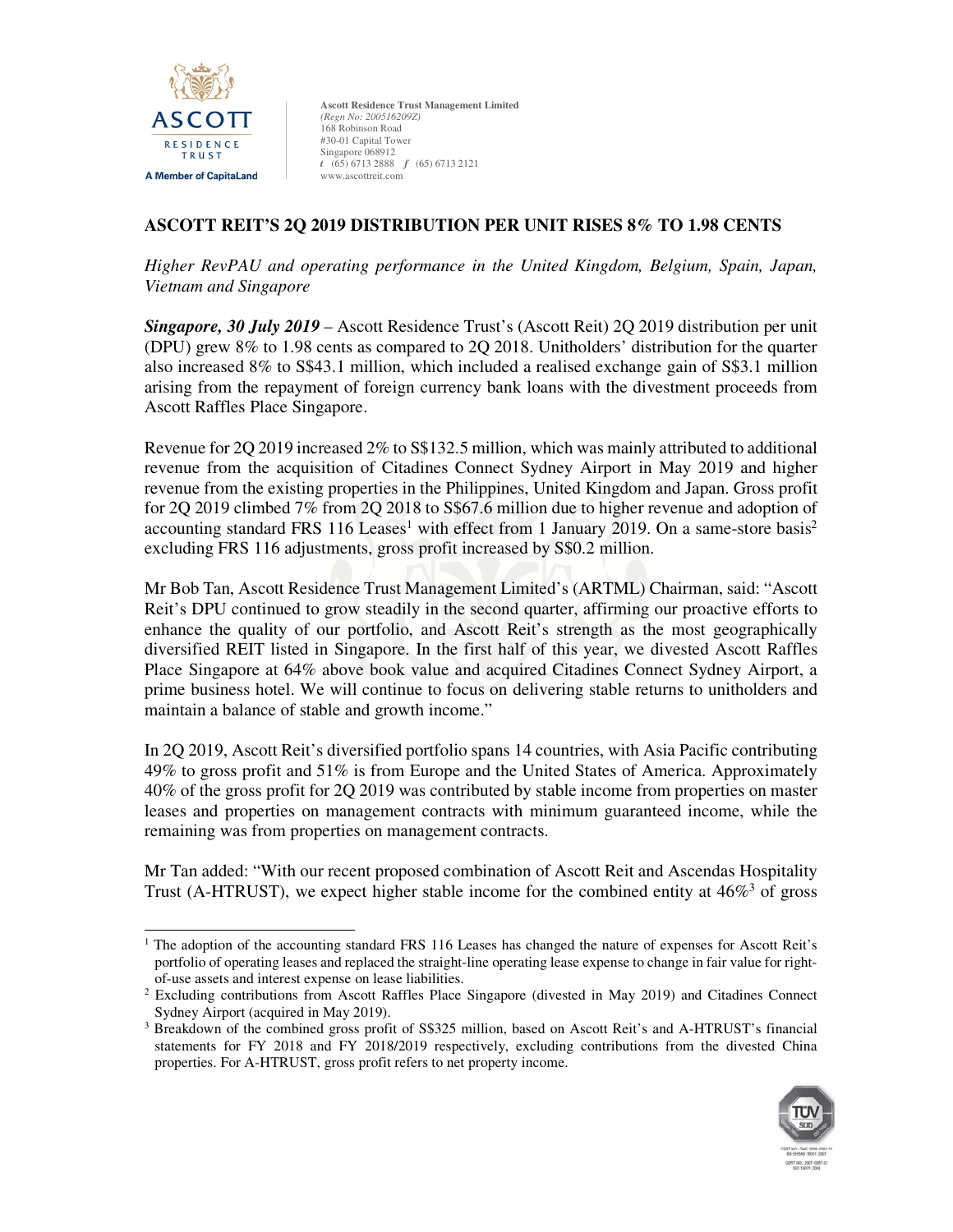

# **ASCOTT REIT'S 2Q 2019 DISTRIBUTION PER UNIT RISES 8% TO 1.98 CENTS**

*Higher RevPAU and operating performance in the United Kingdom, Belgium, Spain, Japan, Vietnam and Singapore* 

*Singapore, 30 July 2019* – Ascott Residence Trust's (Ascott Reit) 2Q 2019 distribution per unit (DPU) grew 8% to 1.98 cents as compared to 2Q 2018. Unitholders' distribution for the quarter also increased 8% to S\$43.1 million, which included a realised exchange gain of S\$3.1 million arising from the repayment of foreign currency bank loans with the divestment proceeds from Ascott Raffles Place Singapore.

Revenue for 2Q 2019 increased 2% to S\$132.5 million, which was mainly attributed to additional revenue from the acquisition of Citadines Connect Sydney Airport in May 2019 and higher revenue from the existing properties in the Philippines, United Kingdom and Japan. Gross profit for 2Q 2019 climbed 7% from 2Q 2018 to S\$67.6 million due to higher revenue and adoption of accounting standard FRS 116 Leases<sup>1</sup> with effect from 1 January 2019. On a same-store basis<sup>2</sup> excluding FRS 116 adjustments, gross profit increased by S\$0.2 million.

Mr Bob Tan, Ascott Residence Trust Management Limited's (ARTML) Chairman, said: "Ascott Reit's DPU continued to grow steadily in the second quarter, affirming our proactive efforts to enhance the quality of our portfolio, and Ascott Reit's strength as the most geographically diversified REIT listed in Singapore. In the first half of this year, we divested Ascott Raffles Place Singapore at 64% above book value and acquired Citadines Connect Sydney Airport, a prime business hotel. We will continue to focus on delivering stable returns to unitholders and maintain a balance of stable and growth income."

In 2Q 2019, Ascott Reit's diversified portfolio spans 14 countries, with Asia Pacific contributing 49% to gross profit and 51% is from Europe and the United States of America. Approximately 40% of the gross profit for 2Q 2019 was contributed by stable income from properties on master leases and properties on management contracts with minimum guaranteed income, while the remaining was from properties on management contracts.

Mr Tan added: "With our recent proposed combination of Ascott Reit and Ascendas Hospitality Trust (A-HTRUST), we expect higher stable income for the combined entity at  $46\%$ <sup>3</sup> of gross

<sup>&</sup>lt;sup>3</sup> Breakdown of the combined gross profit of S\$325 million, based on Ascott Reit's and A-HTRUST's financial statements for FY 2018 and FY 2018/2019 respectively, excluding contributions from the divested China properties. For A-HTRUST, gross profit refers to net property income.



<sup>&</sup>lt;u>.</u> <sup>1</sup> The adoption of the accounting standard FRS 116 Leases has changed the nature of expenses for Ascott Reit's portfolio of operating leases and replaced the straight-line operating lease expense to change in fair value for rightof-use assets and interest expense on lease liabilities.

<sup>&</sup>lt;sup>2</sup> Excluding contributions from Ascott Raffles Place Singapore (divested in May 2019) and Citadines Connect Sydney Airport (acquired in May 2019).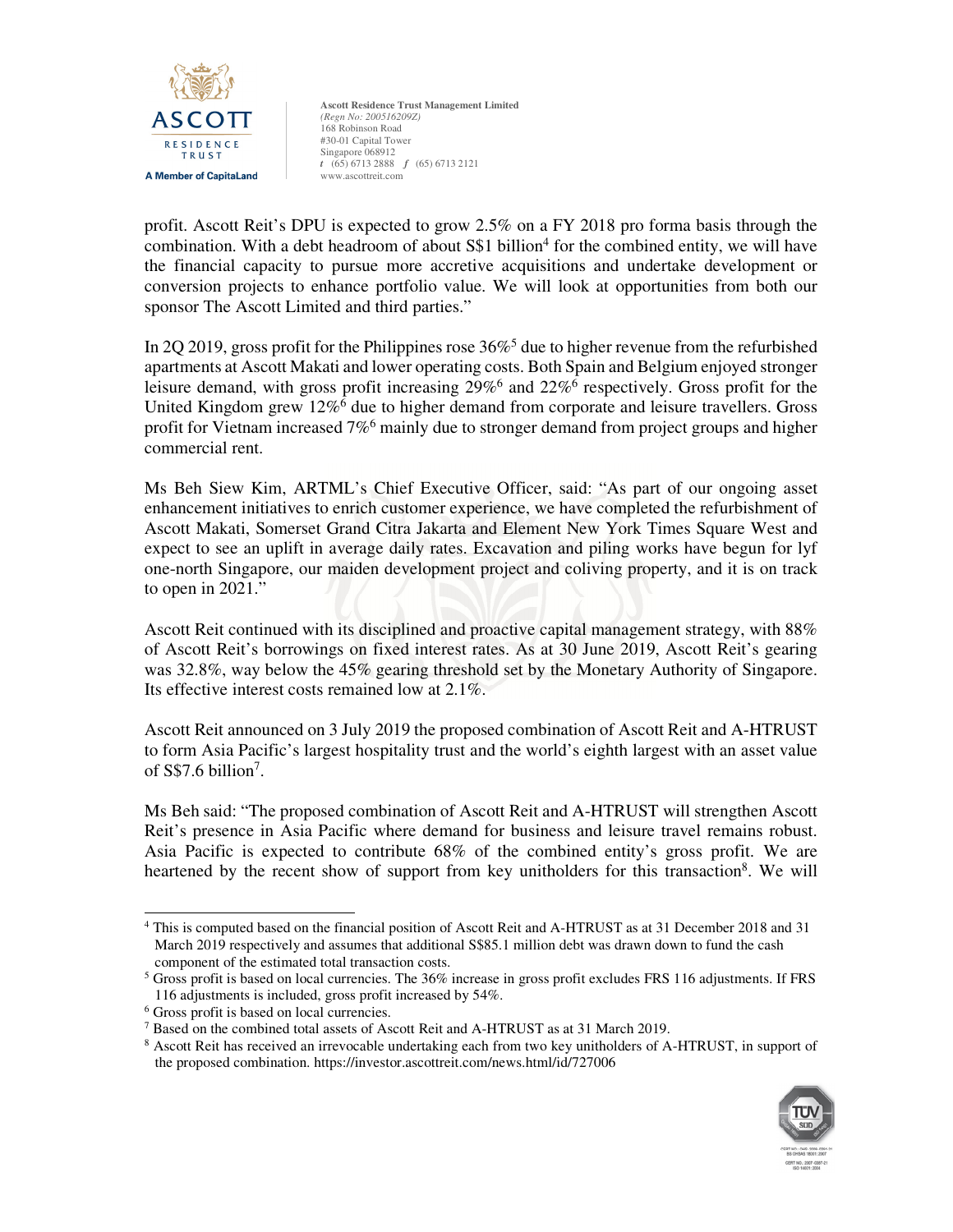

profit. Ascott Reit's DPU is expected to grow 2.5% on a FY 2018 pro forma basis through the combination. With a debt headroom of about S\$1 billion<sup>4</sup> for the combined entity, we will have the financial capacity to pursue more accretive acquisitions and undertake development or conversion projects to enhance portfolio value. We will look at opportunities from both our sponsor The Ascott Limited and third parties."

In 2Q 2019, gross profit for the Philippines rose  $36\%$ <sup>5</sup> due to higher revenue from the refurbished apartments at Ascott Makati and lower operating costs. Both Spain and Belgium enjoyed stronger leisure demand, with gross profit increasing 29%<sup>6</sup> and 22%<sup>6</sup> respectively. Gross profit for the United Kingdom grew 12%<sup>6</sup> due to higher demand from corporate and leisure travellers. Gross profit for Vietnam increased 7%<sup>6</sup> mainly due to stronger demand from project groups and higher commercial rent.

Ms Beh Siew Kim, ARTML's Chief Executive Officer, said: "As part of our ongoing asset enhancement initiatives to enrich customer experience, we have completed the refurbishment of Ascott Makati, Somerset Grand Citra Jakarta and Element New York Times Square West and expect to see an uplift in average daily rates. Excavation and piling works have begun for lyf one-north Singapore, our maiden development project and coliving property, and it is on track to open in 2021."

Ascott Reit continued with its disciplined and proactive capital management strategy, with 88% of Ascott Reit's borrowings on fixed interest rates. As at 30 June 2019, Ascott Reit's gearing was 32.8%, way below the 45% gearing threshold set by the Monetary Authority of Singapore. Its effective interest costs remained low at 2.1%.

Ascott Reit announced on 3 July 2019 the proposed combination of Ascott Reit and A-HTRUST to form Asia Pacific's largest hospitality trust and the world's eighth largest with an asset value of  $S$7.6 billion<sup>7</sup>$ .

Ms Beh said: "The proposed combination of Ascott Reit and A-HTRUST will strengthen Ascott Reit's presence in Asia Pacific where demand for business and leisure travel remains robust. Asia Pacific is expected to contribute 68% of the combined entity's gross profit. We are heartened by the recent show of support from key unitholders for this transaction<sup>8</sup>. We will

<sup>&</sup>lt;sup>8</sup> Ascott Reit has received an irrevocable undertaking each from two key unitholders of A-HTRUST, in support of the proposed combination. https://investor.ascottreit.com/news.html/id/727006



<sup>&</sup>lt;u>.</u> 4 This is computed based on the financial position of Ascott Reit and A-HTRUST as at 31 December 2018 and 31 March 2019 respectively and assumes that additional S\$85.1 million debt was drawn down to fund the cash component of the estimated total transaction costs.

<sup>5</sup> Gross profit is based on local currencies. The 36% increase in gross profit excludes FRS 116 adjustments. If FRS 116 adjustments is included, gross profit increased by 54%.

<sup>6</sup> Gross profit is based on local currencies.

<sup>7</sup> Based on the combined total assets of Ascott Reit and A-HTRUST as at 31 March 2019.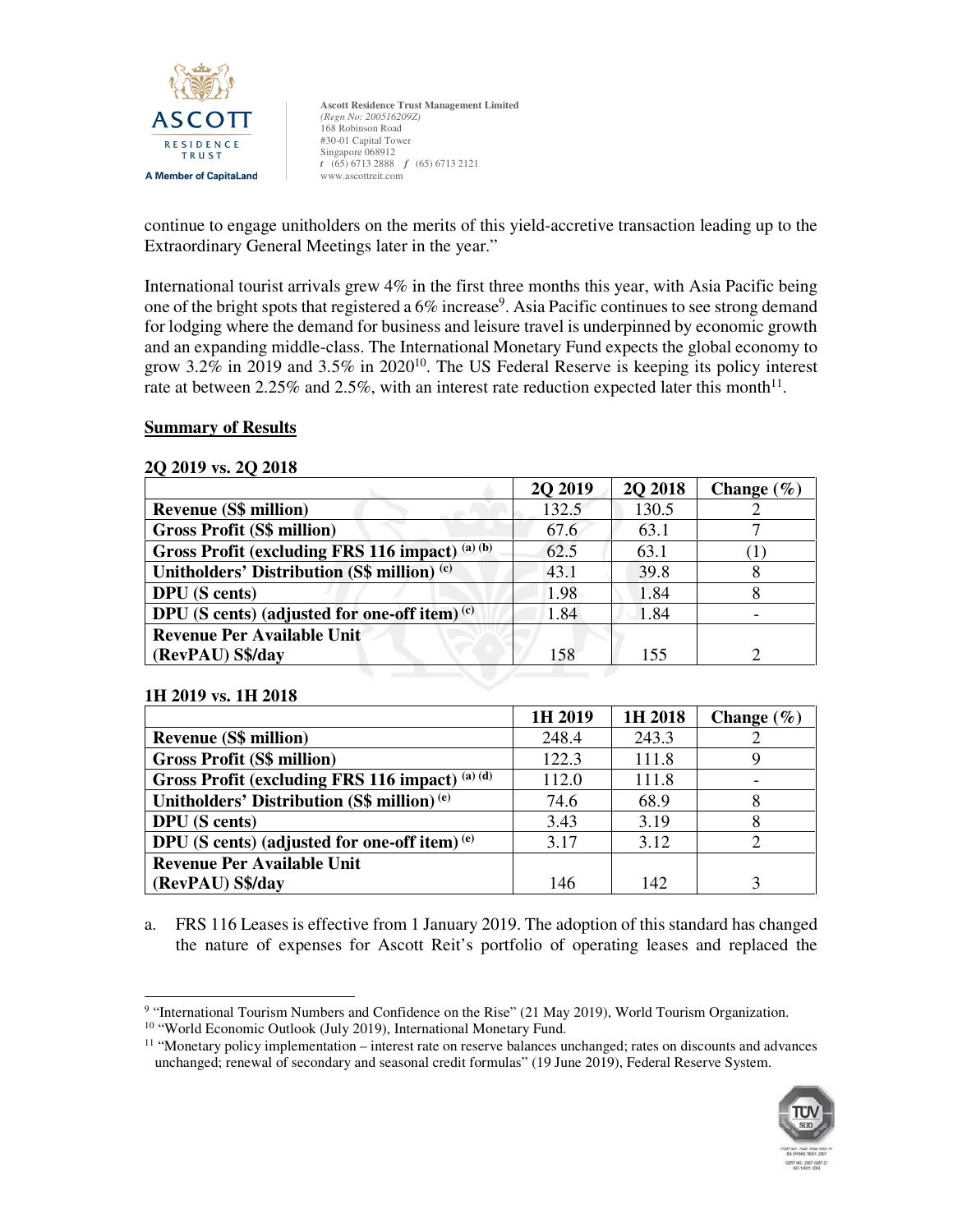

continue to engage unitholders on the merits of this yield-accretive transaction leading up to the Extraordinary General Meetings later in the year."

International tourist arrivals grew  $4\%$  in the first three months this year, with Asia Pacific being one of the bright spots that registered a 6% increase<sup>9</sup>. Asia Pacific continues to see strong demand for lodging where the demand for business and leisure travel is underpinned by economic growth and an expanding middle-class. The International Monetary Fund expects the global economy to grow 3.2% in 2019 and 3.5% in 2020<sup>10</sup>. The US Federal Reserve is keeping its policy interest rate at between 2.25% and 2.5%, with an interest rate reduction expected later this month<sup>11</sup>.

### **Summary of Results**

#### **2Q 2019 vs. 2Q 2018**

|                                                 | <b>20 20 19</b> | <b>20 2018</b> | Change $(\% )$ |
|-------------------------------------------------|-----------------|----------------|----------------|
| <b>Revenue (S\$ million)</b>                    | 132.5           | 130.5          |                |
| <b>Gross Profit (S\$ million)</b>               | 67.6            | 63.1           |                |
| Gross Profit (excluding FRS 116 impact) (a) (b) | 62.5            | 63.1           |                |
| Unitholders' Distribution (S\$ million) (c)     | 43.1            | 39.8           | 8              |
| <b>DPU</b> (S cents)                            | 1.98            | 1.84           |                |
| DPU (S cents) (adjusted for one-off item) $(c)$ | 1.84            | 1.84           |                |
| <b>Revenue Per Available Unit</b>               |                 |                |                |
| (RevPAU) S\$/day                                | 158             | 155            |                |

### **1H 2019 vs. 1H 2018**

|                                                        | 1H 2019 | 1H 2018 | Change $(\% )$ |
|--------------------------------------------------------|---------|---------|----------------|
| <b>Revenue (S\$ million)</b>                           | 248.4   | 243.3   |                |
| <b>Gross Profit (S\$ million)</b>                      | 122.3   | 111.8   |                |
| Gross Profit (excluding FRS 116 impact) (a) (d)        | 112.0   | 111.8   |                |
| Unitholders' Distribution (S\$ million) <sup>(e)</sup> | 74.6    | 68.9    | 8              |
| <b>DPU</b> (S cents)                                   | 3.43    | 3.19    |                |
| DPU (S cents) (adjusted for one-off item) $(e)$        | 3.17    | 3.12    |                |
| <b>Revenue Per Available Unit</b>                      |         |         |                |
| (RevPAU) S\$/day                                       | 146     | 142     |                |

a. FRS 116 Leases is effective from 1 January 2019. The adoption of this standard has changed the nature of expenses for Ascott Reit's portfolio of operating leases and replaced the

<sup>11</sup> "Monetary policy implementation – interest rate on reserve balances unchanged; rates on discounts and advances unchanged; renewal of secondary and seasonal credit formulas" (19 June 2019), Federal Reserve System.



 9 "International Tourism Numbers and Confidence on the Rise" (21 May 2019), World Tourism Organization.

<sup>10</sup> "World Economic Outlook (July 2019), International Monetary Fund.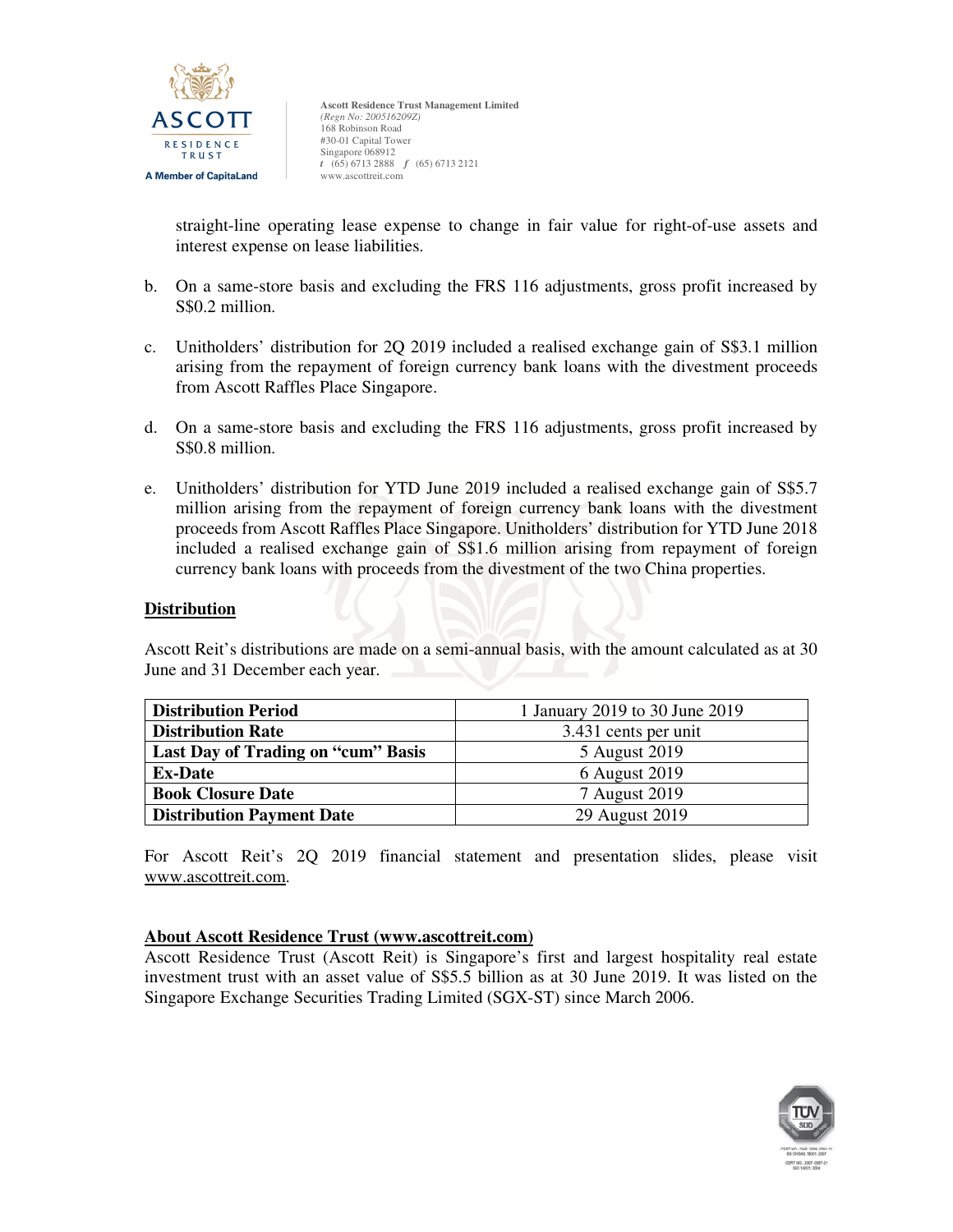

straight-line operating lease expense to change in fair value for right-of-use assets and interest expense on lease liabilities.

- b. On a same-store basis and excluding the FRS 116 adjustments, gross profit increased by S\$0.2 million.
- c. Unitholders' distribution for 2Q 2019 included a realised exchange gain of S\$3.1 million arising from the repayment of foreign currency bank loans with the divestment proceeds from Ascott Raffles Place Singapore.
- d. On a same-store basis and excluding the FRS 116 adjustments, gross profit increased by S\$0.8 million.
- e. Unitholders' distribution for YTD June 2019 included a realised exchange gain of S\$5.7 million arising from the repayment of foreign currency bank loans with the divestment proceeds from Ascott Raffles Place Singapore. Unitholders' distribution for YTD June 2018 included a realised exchange gain of S\$1.6 million arising from repayment of foreign currency bank loans with proceeds from the divestment of the two China properties.

## **Distribution**

Ascott Reit's distributions are made on a semi-annual basis, with the amount calculated as at 30 June and 31 December each year.

| <b>Distribution Period</b>         | 1 January 2019 to 30 June 2019 |  |  |
|------------------------------------|--------------------------------|--|--|
| <b>Distribution Rate</b>           | 3.431 cents per unit           |  |  |
| Last Day of Trading on "cum" Basis | 5 August 2019                  |  |  |
| <b>Ex-Date</b>                     | 6 August 2019                  |  |  |
| <b>Book Closure Date</b>           | 7 August 2019                  |  |  |
| <b>Distribution Payment Date</b>   | 29 August 2019                 |  |  |

For Ascott Reit's 2Q 2019 financial statement and presentation slides, please visit www.ascottreit.com.

### **About Ascott Residence Trust (www.ascottreit.com)**

Ascott Residence Trust (Ascott Reit) is Singapore's first and largest hospitality real estate investment trust with an asset value of S\$5.5 billion as at 30 June 2019. It was listed on the Singapore Exchange Securities Trading Limited (SGX-ST) since March 2006.

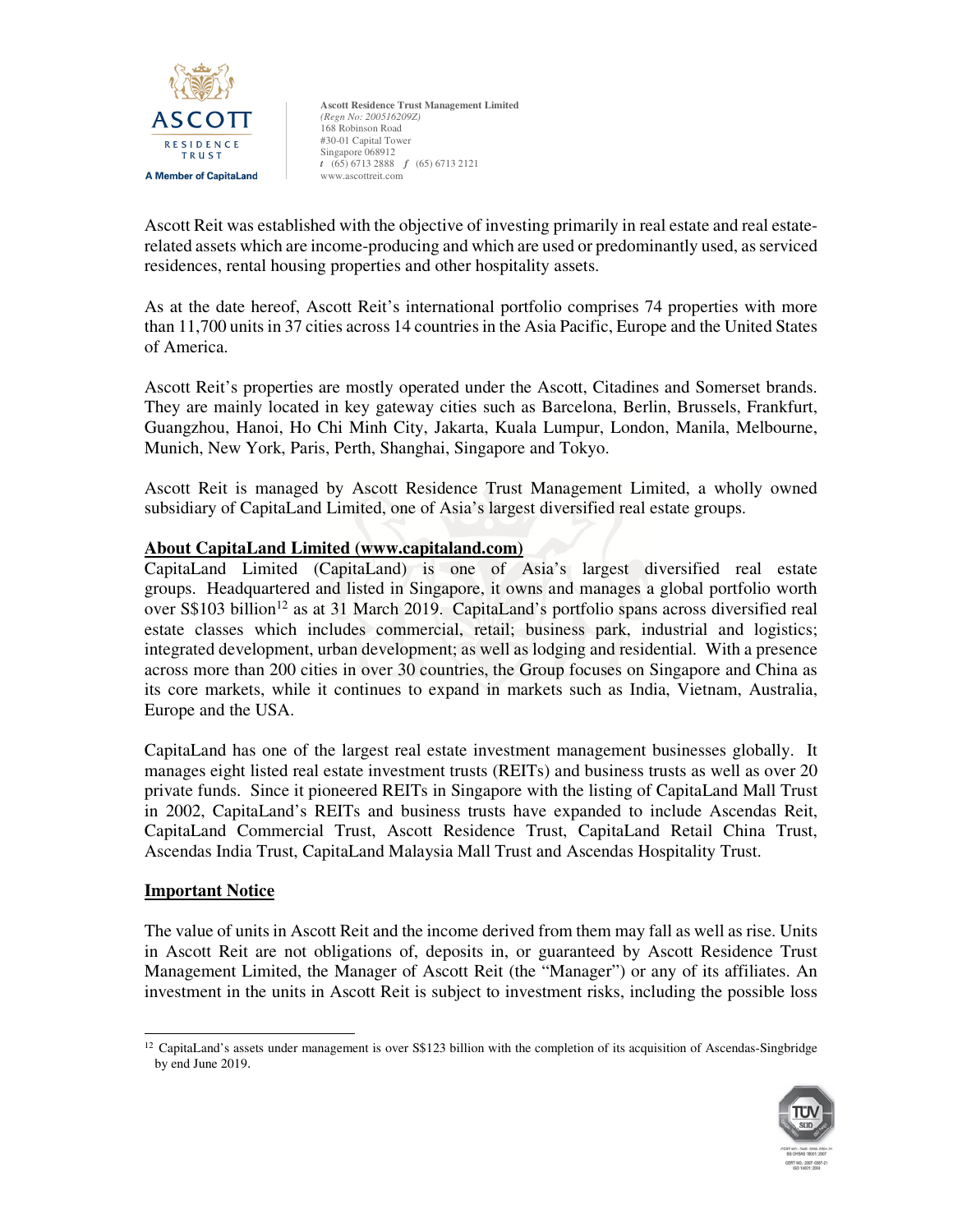

Ascott Reit was established with the objective of investing primarily in real estate and real estaterelated assets which are income-producing and which are used or predominantly used, as serviced residences, rental housing properties and other hospitality assets.

As at the date hereof, Ascott Reit's international portfolio comprises 74 properties with more than 11,700 units in 37 cities across 14 countries in the Asia Pacific, Europe and the United States of America.

Ascott Reit's properties are mostly operated under the Ascott, Citadines and Somerset brands. They are mainly located in key gateway cities such as Barcelona, Berlin, Brussels, Frankfurt, Guangzhou, Hanoi, Ho Chi Minh City, Jakarta, Kuala Lumpur, London, Manila, Melbourne, Munich, New York, Paris, Perth, Shanghai, Singapore and Tokyo.

Ascott Reit is managed by Ascott Residence Trust Management Limited, a wholly owned subsidiary of CapitaLand Limited, one of Asia's largest diversified real estate groups.

## **About CapitaLand Limited (www.capitaland.com)**

CapitaLand Limited (CapitaLand) is one of Asia's largest diversified real estate groups. Headquartered and listed in Singapore, it owns and manages a global portfolio worth over S\$103 billion<sup>12</sup> as at 31 March 2019. CapitaLand's portfolio spans across diversified real estate classes which includes commercial, retail; business park, industrial and logistics; integrated development, urban development; as well as lodging and residential. With a presence across more than 200 cities in over 30 countries, the Group focuses on Singapore and China as its core markets, while it continues to expand in markets such as India, Vietnam, Australia, Europe and the USA.

CapitaLand has one of the largest real estate investment management businesses globally. It manages eight listed real estate investment trusts (REITs) and business trusts as well as over 20 private funds. Since it pioneered REITs in Singapore with the listing of CapitaLand Mall Trust in 2002, CapitaLand's REITs and business trusts have expanded to include Ascendas Reit, CapitaLand Commercial Trust, Ascott Residence Trust, CapitaLand Retail China Trust, Ascendas India Trust, CapitaLand Malaysia Mall Trust and Ascendas Hospitality Trust.

### **Important Notice**

The value of units in Ascott Reit and the income derived from them may fall as well as rise. Units in Ascott Reit are not obligations of, deposits in, or guaranteed by Ascott Residence Trust Management Limited, the Manager of Ascott Reit (the "Manager") or any of its affiliates. An investment in the units in Ascott Reit is subject to investment risks, including the possible loss

<sup>1</sup>  $12$  CapitaLand's assets under management is over S\$123 billion with the completion of its acquisition of Ascendas-Singbridge by end June 2019.